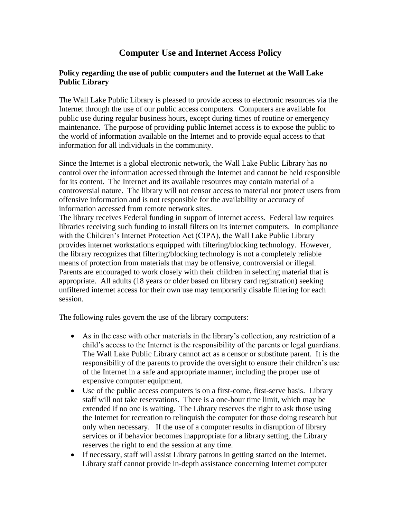## **Computer Use and Internet Access Policy**

## **Policy regarding the use of public computers and the Internet at the Wall Lake Public Library**

The Wall Lake Public Library is pleased to provide access to electronic resources via the Internet through the use of our public access computers. Computers are available for public use during regular business hours, except during times of routine or emergency maintenance. The purpose of providing public Internet access is to expose the public to the world of information available on the Internet and to provide equal access to that information for all individuals in the community.

Since the Internet is a global electronic network, the Wall Lake Public Library has no control over the information accessed through the Internet and cannot be held responsible for its content. The Internet and its available resources may contain material of a controversial nature. The library will not censor access to material nor protect users from offensive information and is not responsible for the availability or accuracy of information accessed from remote network sites.

The library receives Federal funding in support of internet access. Federal law requires libraries receiving such funding to install filters on its internet computers. In compliance with the Children's Internet Protection Act (CIPA), the Wall Lake Public Library provides internet workstations equipped with filtering/blocking technology. However, the library recognizes that filtering/blocking technology is not a completely reliable means of protection from materials that may be offensive, controversial or illegal. Parents are encouraged to work closely with their children in selecting material that is appropriate. All adults (18 years or older based on library card registration) seeking unfiltered internet access for their own use may temporarily disable filtering for each session.

The following rules govern the use of the library computers:

- As in the case with other materials in the library's collection, any restriction of a child's access to the Internet is the responsibility of the parents or legal guardians. The Wall Lake Public Library cannot act as a censor or substitute parent. It is the responsibility of the parents to provide the oversight to ensure their children's use of the Internet in a safe and appropriate manner, including the proper use of expensive computer equipment.
- Use of the public access computers is on a first-come, first-serve basis. Library staff will not take reservations. There is a one-hour time limit, which may be extended if no one is waiting. The Library reserves the right to ask those using the Internet for recreation to relinquish the computer for those doing research but only when necessary. If the use of a computer results in disruption of library services or if behavior becomes inappropriate for a library setting, the Library reserves the right to end the session at any time.
- If necessary, staff will assist Library patrons in getting started on the Internet. Library staff cannot provide in-depth assistance concerning Internet computer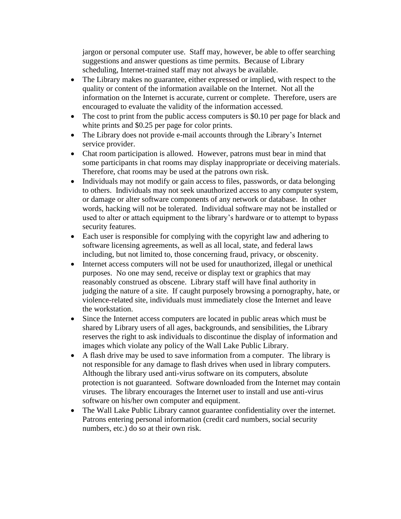jargon or personal computer use. Staff may, however, be able to offer searching suggestions and answer questions as time permits. Because of Library scheduling, Internet-trained staff may not always be available.

- The Library makes no guarantee, either expressed or implied, with respect to the quality or content of the information available on the Internet. Not all the information on the Internet is accurate, current or complete. Therefore, users are encouraged to evaluate the validity of the information accessed.
- The cost to print from the public access computers is \$0.10 per page for black and white prints and \$0.25 per page for color prints.
- The Library does not provide e-mail accounts through the Library's Internet service provider.
- Chat room participation is allowed. However, patrons must bear in mind that some participants in chat rooms may display inappropriate or deceiving materials. Therefore, chat rooms may be used at the patrons own risk.
- Individuals may not modify or gain access to files, passwords, or data belonging to others. Individuals may not seek unauthorized access to any computer system, or damage or alter software components of any network or database. In other words, hacking will not be tolerated. Individual software may not be installed or used to alter or attach equipment to the library's hardware or to attempt to bypass security features.
- Each user is responsible for complying with the copyright law and adhering to software licensing agreements, as well as all local, state, and federal laws including, but not limited to, those concerning fraud, privacy, or obscenity.
- Internet access computers will not be used for unauthorized, illegal or unethical purposes. No one may send, receive or display text or graphics that may reasonably construed as obscene. Library staff will have final authority in judging the nature of a site. If caught purposely browsing a pornography, hate, or violence-related site, individuals must immediately close the Internet and leave the workstation.
- Since the Internet access computers are located in public areas which must be shared by Library users of all ages, backgrounds, and sensibilities, the Library reserves the right to ask individuals to discontinue the display of information and images which violate any policy of the Wall Lake Public Library.
- A flash drive may be used to save information from a computer. The library is not responsible for any damage to flash drives when used in library computers. Although the library used anti-virus software on its computers, absolute protection is not guaranteed. Software downloaded from the Internet may contain viruses. The library encourages the Internet user to install and use anti-virus software on his/her own computer and equipment.
- The Wall Lake Public Library cannot guarantee confidentiality over the internet. Patrons entering personal information (credit card numbers, social security numbers, etc.) do so at their own risk.